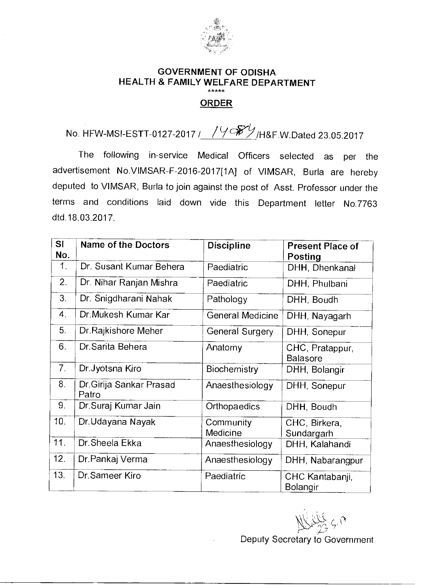

## **GOVERNMENT OF ODISHA HEALTH & FAMILY WELFARE DEPARTMENT**  \*\*\*\*\*

## **ORDER**

## No. HFW-MSI-ESTT-0127-2017 / 1988/h&F.W.Dated 23.05.2017

The following in-service Medical Officers selected as per the advertisement No.VIMSAR-F-2016-2017[1A] of VIMSAR, Burla are hereby deputed to VIMSAR, Burla to join against the post of Asst. Professor under the terms and conditions laid down vide this Department letter No.7763 dtd.18.03.2017.

| SI<br>No.            | <b>Name of the Doctors</b>       | <b>Discipline</b>       | <b>Present Place of</b><br><b>Posting</b> |
|----------------------|----------------------------------|-------------------------|-------------------------------------------|
| 1.                   | Dr. Susant Kumar Behera          | Paediatric              | DHH, Dhenkanal                            |
| 2.                   | Dr. Nihar Ranjan Mishra          | Paediatric              | DHH, Phulbani                             |
| 3.                   | Dr. Snigdharani Nahak            | Pathology               | DHH, Boudh                                |
| $\mathbf{4}_{\cdot}$ | Dr. Mukesh Kumar Kar             | <b>General Medicine</b> | DHH, Nayagarh                             |
| 5.                   | Dr. Rajkishore Meher             | General Surgery         | DHH, Sonepur                              |
| 6.                   | Dr.Sarita Behera                 | Anatomy                 | CHC, Pratappur,<br><b>Balasore</b>        |
| 7 <sub>1</sub>       | Dr.Jyotsna Kiro                  | <b>Biochemistry</b>     | DHH, Bolangir                             |
| 8.                   | Dr.Girija Sankar Prasad<br>Patro | Anaesthesiology         | DHH, Sonepur                              |
| 9 <sub>1</sub>       | Dr.Suraj Kumar Jain              | Orthopaedics            | DHH, Boudh                                |
| 10.                  | Dr.Udayana Nayak                 | Community<br>Medicine   | CHC, Birkera,<br>Sundargarh               |
| 11.                  | Dr. Sheela Ekka                  | Anaesthesiology         | DHH, Kalahandi                            |
| 12.                  | Dr Pankaj Verma                  | Anaesthesiology         | DHH, Nabarangpur                          |
| 13.                  | Dr Sameer Kiro                   | Paediatric              | CHC Kantabanji,<br>Bolangir               |

 $\overline{C}$ 

Deputy Secretary to Government